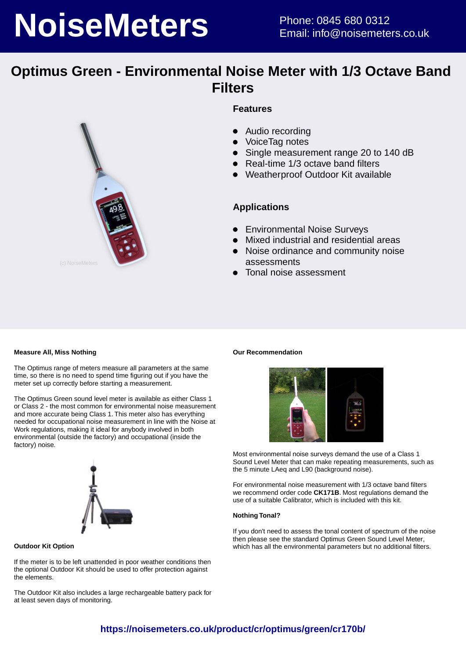# **NoiseMeters** Phone: 0845 680 0312

# **Optimus Green - Environmental Noise Meter with 1/3 Octave Band Filters**



## **Features**

- $\bullet$ Audio recording
- VoiceTag notes
- Single measurement range 20 to 140 dB
- Real-time 1/3 octave band filters
- Weatherproof Outdoor Kit available

## **Applications**

- **•** Environmental Noise Surveys
- Mixed industrial and residential areas
- $\bullet$ Noise ordinance and community noise assessments
- Tonal noise assessment

#### **Measure All, Miss Nothing**

The Optimus range of meters measure all parameters at the same time, so there is no need to spend time figuring out if you have the meter set up correctly before starting a measurement.

The Optimus Green sound level meter is available as either Class 1 or Class 2 - the most common for environmental noise measurement and more accurate being Class 1. This meter also has everything needed for occupational noise measurement in line with the Noise at Work regulations, making it ideal for anybody involved in both environmental (outside the factory) and occupational (inside the factory) noise.



**Outdoor Kit Option**

If the meter is to be left unattended in poor weather conditions then the optional Outdoor Kit should be used to offer protection against the elements.

The Outdoor Kit also includes a large rechargeable battery pack for at least seven days of monitoring.

#### **Our Recommendation**



Most environmental noise surveys demand the use of a Class 1 Sound Level Meter that can make repeating measurements, such as the 5 minute LAeg and L90 (background noise).

For environmental noise measurement with 1/3 octave band filters we recommend order code **CK171B**. Most regulations demand the use of a suitable Calibrator, which is included with this kit.

#### **Nothing Tonal?**

If you don't need to assess the tonal content of spectrum of the noise then please see the standard Optimus Green Sound Level Meter, which has all the environmental parameters but no additional filters.

# **https://noisemeters.co.uk/product/cr/optimus/green/cr170b/**